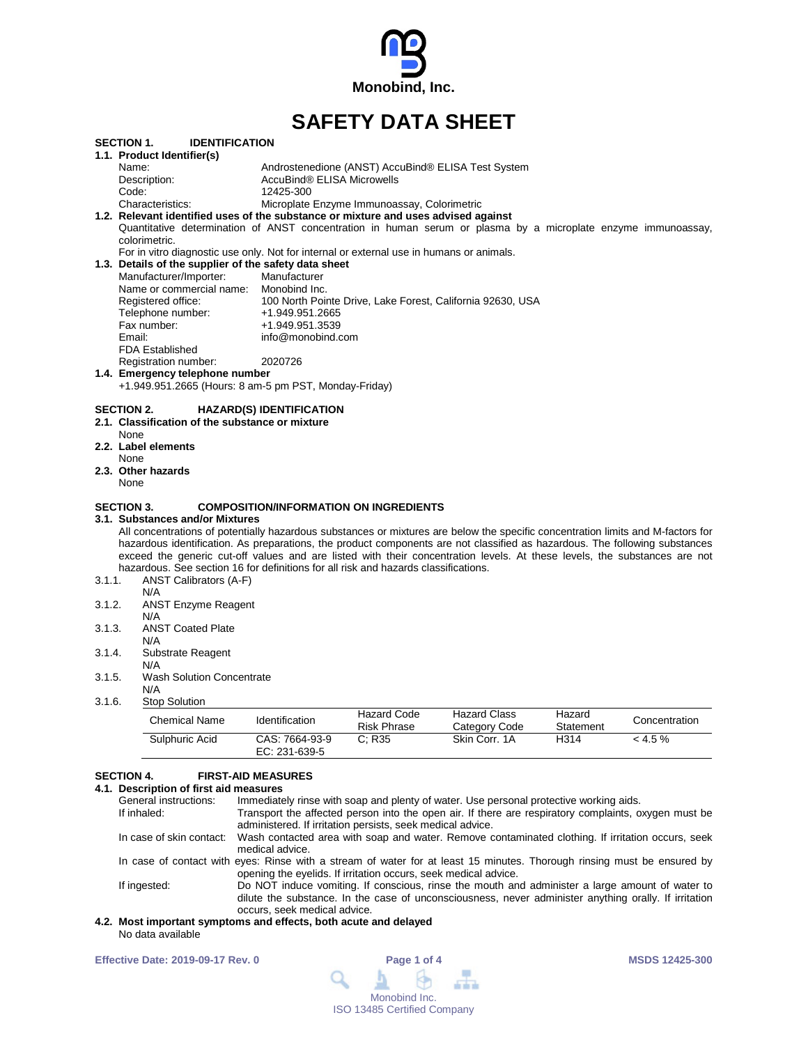

# **SAFETY DATA SHEET**

| <b>SECTION 1.</b><br><b>IDENTIFICATION</b>                        |                                                                                                                                                                                                                                                                                                                  |
|-------------------------------------------------------------------|------------------------------------------------------------------------------------------------------------------------------------------------------------------------------------------------------------------------------------------------------------------------------------------------------------------|
| 1.1. Product Identifier(s)                                        |                                                                                                                                                                                                                                                                                                                  |
| Name:                                                             | Androstenedione (ANST) AccuBind® ELISA Test System                                                                                                                                                                                                                                                               |
| Description:                                                      | AccuBind® ELISA Microwells                                                                                                                                                                                                                                                                                       |
| Code:                                                             | 12425-300                                                                                                                                                                                                                                                                                                        |
| Characteristics:                                                  | Microplate Enzyme Immunoassay, Colorimetric<br>1.2. Relevant identified uses of the substance or mixture and uses advised against                                                                                                                                                                                |
|                                                                   | Quantitative determination of ANST concentration in human serum or plasma by a microplate enzyme immunoassay,                                                                                                                                                                                                    |
| colorimetric.                                                     |                                                                                                                                                                                                                                                                                                                  |
|                                                                   | For in vitro diagnostic use only. Not for internal or external use in humans or animals.                                                                                                                                                                                                                         |
| 1.3. Details of the supplier of the safety data sheet             |                                                                                                                                                                                                                                                                                                                  |
| Manufacturer/Importer:                                            | Manufacturer                                                                                                                                                                                                                                                                                                     |
| Name or commercial name: Monobind Inc.                            |                                                                                                                                                                                                                                                                                                                  |
| Registered office:                                                | 100 North Pointe Drive, Lake Forest, California 92630, USA                                                                                                                                                                                                                                                       |
| Telephone number:                                                 | +1.949.951.2665                                                                                                                                                                                                                                                                                                  |
| Fax number:                                                       | +1.949.951.3539                                                                                                                                                                                                                                                                                                  |
| Email:                                                            | info@monobind.com                                                                                                                                                                                                                                                                                                |
| <b>FDA Established</b>                                            |                                                                                                                                                                                                                                                                                                                  |
| Registration number:                                              | 2020726                                                                                                                                                                                                                                                                                                          |
| 1.4. Emergency telephone number                                   |                                                                                                                                                                                                                                                                                                                  |
|                                                                   | +1.949.951.2665 (Hours: 8 am-5 pm PST, Monday-Friday)                                                                                                                                                                                                                                                            |
| None<br>2.2. Label elements<br>None<br>2.3. Other hazards<br>None |                                                                                                                                                                                                                                                                                                                  |
| <b>SECTION 3.</b><br>3.1. Substances and/or Mixtures              | <b>COMPOSITION/INFORMATION ON INGREDIENTS</b><br>All concentrations of potentially hazardous substances or mixtures are below the specific concentration limits and M-factors for<br>hazardous identification. As preparations, the product components are not classified as hazardous. The following substances |
|                                                                   | exceed the generic cut-off values and are listed with their concentration levels. At these levels, the substances are not                                                                                                                                                                                        |
|                                                                   | hazardous. See section 16 for definitions for all risk and hazards classifications.                                                                                                                                                                                                                              |
| 3.1.1.<br>ANST Calibrators (A-F)<br>N/A                           |                                                                                                                                                                                                                                                                                                                  |
| 3.1.2.<br><b>ANST Enzyme Reagent</b>                              |                                                                                                                                                                                                                                                                                                                  |
| N/A                                                               |                                                                                                                                                                                                                                                                                                                  |
| <b>ANST Coated Plate</b><br>3.1.3.                                |                                                                                                                                                                                                                                                                                                                  |
| N/A                                                               |                                                                                                                                                                                                                                                                                                                  |
| 3.1.4.<br>Substrate Reagent                                       |                                                                                                                                                                                                                                                                                                                  |
| N/A                                                               |                                                                                                                                                                                                                                                                                                                  |
| 3.1.5.<br><b>Wash Solution Concentrate</b>                        |                                                                                                                                                                                                                                                                                                                  |
| N/A                                                               |                                                                                                                                                                                                                                                                                                                  |
| 3.1.6.<br><b>Stop Solution</b>                                    | Hozard Codo<br>Hozard Class<br>$H_{222}$                                                                                                                                                                                                                                                                         |
|                                                                   |                                                                                                                                                                                                                                                                                                                  |

| Chemical Name  | Identification                  | Hazard Code<br><b>Risk Phrase</b> | <b>Hazard Class</b><br>Category Code | Hazard<br>Statement | Concentration |
|----------------|---------------------------------|-----------------------------------|--------------------------------------|---------------------|---------------|
| Sulphuric Acid | CAS: 7664-93-9<br>EC: 231-639-5 | $\degree$ : R35                   | Skin Corr. 1A                        | H314                | $< 4.5 \%$    |

# **SECTION 4. FIRST-AID MEASURES 4.1. Description**

| 1. Description of first aid measures |                                                                                                                                                                                                                                          |  |  |
|--------------------------------------|------------------------------------------------------------------------------------------------------------------------------------------------------------------------------------------------------------------------------------------|--|--|
| General instructions:                | Immediately rinse with soap and plenty of water. Use personal protective working aids.                                                                                                                                                   |  |  |
| If inhaled:                          | Transport the affected person into the open air. If there are respiratory complaints, oxygen must be<br>administered. If irritation persists, seek medical advice.                                                                       |  |  |
|                                      | In case of skin contact: Wash contacted area with soap and water. Remove contaminated clothing. If irritation occurs, seek<br>medical advice.                                                                                            |  |  |
|                                      | In case of contact with eyes: Rinse with a stream of water for at least 15 minutes. Thorough rinsing must be ensured by<br>opening the eyelids. If irritation occurs, seek medical advice.                                               |  |  |
| If ingested:                         | Do NOT induce vomiting. If conscious, rinse the mouth and administer a large amount of water to<br>dilute the substance. In the case of unconsciousness, never administer anything orally. If irritation<br>occurs, seek medical advice. |  |  |

### **4.2. Most important symptoms and effects, both acute and delayed** No data available

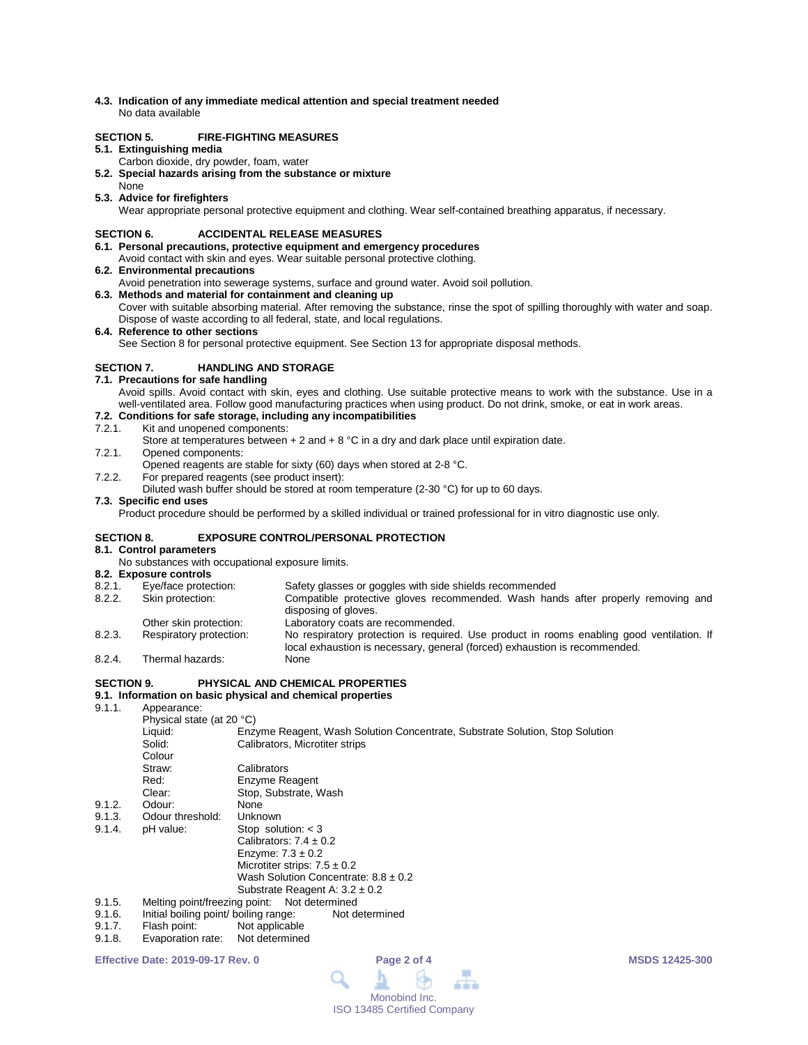**4.3. Indication of any immediate medical attention and special treatment needed** No data available

# **SECTION 5. FIRE-FIGHTING MEASURES**

## **5.1. Extinguishing media**

- Carbon dioxide, dry powder, foam, water
- **5.2. Special hazards arising from the substance or mixture**
- None
- **5.3. Advice for firefighters**

Wear appropriate personal protective equipment and clothing. Wear self-contained breathing apparatus, if necessary.

# **SECTION 6. ACCIDENTAL RELEASE MEASURES**

- **6.1. Personal precautions, protective equipment and emergency procedures**
- Avoid contact with skin and eyes. Wear suitable personal protective clothing.
- **6.2. Environmental precautions**
- Avoid penetration into sewerage systems, surface and ground water. Avoid soil pollution.
- **6.3. Methods and material for containment and cleaning up** Cover with suitable absorbing material. After removing the substance, rinse the spot of spilling thoroughly with water and soap. Dispose of waste according to all federal, state, and local regulations.
- **6.4. Reference to other sections** See Section 8 for personal protective equipment. See Section 13 for appropriate disposal methods.

# **SECTION 7. HANDLING AND STORAGE**

- **7.1. Precautions for safe handling**
	- Avoid spills. Avoid contact with skin, eyes and clothing. Use suitable protective means to work with the substance. Use in a well-ventilated area. Follow good manufacturing practices when using product. Do not drink, smoke, or eat in work areas.

# **7.2. Conditions for safe storage, including any incompatibilities**

### Kit and unopened components:

- Store at temperatures between  $+ 2$  and  $+ 8$  °C in a dry and dark place until expiration date.
- 7.2.1. Opened components:
- Opened reagents are stable for sixty (60) days when stored at 2-8 °C.
- 7.2.2. For prepared reagents (see product insert):
	- Diluted wash buffer should be stored at room temperature (2-30 °C) for up to 60 days.

## **7.3. Specific end uses**

Product procedure should be performed by a skilled individual or trained professional for in vitro diagnostic use only.

### **SECTION 8. EXPOSURE CONTROL/PERSONAL PROTECTION**

### **8.1. Control parameters**

No substances with occupational exposure limits.

**8.2. Exposure controls** Safety glasses or goggles with side shields recommended 8.2.2. Skin protection: Compatible protective gloves recommended. Wash hands after properly removing and disposing of gloves. Other skin protection:<br>
Respiratory protection: 
No respiratory protection is required 8.2.3. Respiratory protection: No respiratory protection is required. Use product in rooms enabling good ventilation. If local exhaustion is necessary, general (forced) exhaustion is recommended. 8.2.4. Thermal hazards:

## **SECTION 9. PHYSICAL AND CHEMICAL PROPERTIES**

# **9.1. Information on basic physical and chemical properties**

Appearance:

 $9.1.2.91.3$ 

|        | Physical state (at 20 °C) |                                                                              |
|--------|---------------------------|------------------------------------------------------------------------------|
|        | Liquid:                   | Enzyme Reagent, Wash Solution Concentrate, Substrate Solution, Stop Solution |
|        | Solid:                    | Calibrators, Microtiter strips                                               |
|        | Colour                    |                                                                              |
|        | Straw:                    | Calibrators                                                                  |
|        | Red:                      | Enzyme Reagent                                                               |
|        | Clear:                    | Stop, Substrate, Wash                                                        |
| 9.1.2. | Odour:                    | None                                                                         |
| 9.1.3. | Odour threshold:          | Unknown                                                                      |
| 9.1.4. | pH value:                 | Stop solution: $<$ 3                                                         |
|        |                           | Calibrators: $7.4 \pm 0.2$                                                   |
|        |                           | Enzyme: $7.3 \pm 0.2$                                                        |
|        |                           | Microtiter strips: $7.5 \pm 0.2$                                             |
|        |                           | Wash Solution Concentrate: $8.8 \pm 0.2$                                     |
|        |                           | Substrate Reagent A: $3.2 \pm 0.2$                                           |
| 9.1.5. |                           | Melting point/freezing point: Not determined                                 |
| .      |                           | .                                                                            |

- 9.1.6. Initial boiling point/ boiling range: Not determined<br>9.1.7. Flash point: Not applicable
- 9.1.7. Flash point: Not applicable<br>9.1.8. Evaporation rate: Not determined
- Evaporation rate: Not determined

**Effective Date: 2019-09-17 Rev. 0 Page 2 of 4 MSDS 12425-300**

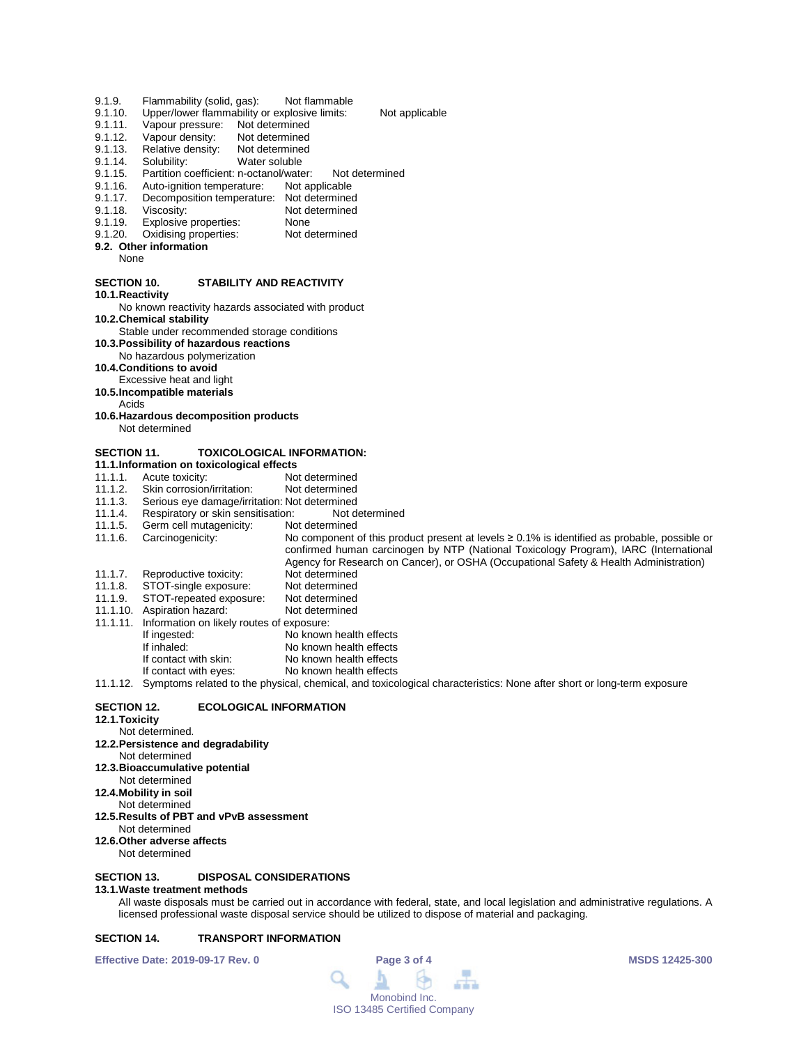- 9.1.9. Flammability (solid, gas): Not flammable<br>9.1.10. Upper/lower flammability or explosive limits:
- 9.1.10. Upper/lower flammability or explosive limits: Not applicable<br>9.1.11. Vapour pressure: Not determined
- 9.1.11. Vapour pressure: Not determined<br>9.1.12. Vapour density: Not determined
- 9.1.12. Vapour density: Not determined<br>9.1.13. Relative density: Not determined
- 9.1.13. Relative density:<br>9.1.14. Solubility:
- 9.1.14. Solubility: Water soluble<br>9.1.15. Partition coefficient: n-octanol/wate
- 9.1.15. Partition coefficient: n-octanol/water: Not determined<br>9.1.16. Auto-ignition temperature: Not applicable
- 9.1.16. Auto-ignition temperature:<br>9.1.17. Decomposition temperature
- 9.1.17. Decomposition temperature: Not determined<br>9.1.18. Viscosity: Not determined Not determined
- 
- 9.1.19. Explosive properties: None<br>9.1.20. Oxidising properties: Not determined Oxidising properties:
- **9.2. Other information**
	- None

# **SECTION 10. STABILITY AND REACTIVITY**

**10.1.Reactivity**

- No known reactivity hazards associated with product **10.2.Chemical stability**
- Stable under recommended storage conditions
- **10.3.Possibility of hazardous reactions**
- No hazardous polymerization
- **10.4.Conditions to avoid**
- Excessive heat and light
- **10.5.Incompatible materials**
- Acids

**10.6.Hazardous decomposition products**

Not determined

# **SECTION 11. TOXICOLOGICAL INFORMATION:**

- **11.1.Information on toxicological effects**
- 11.1.1. Acute toxicity: Not determined<br>11.1.2. Skin corrosion/irritation: Not determined
- 11.1.2. Skin corrosion/irritation:<br>11.1.3. Serious eye damage/irrit
- 11.1.3. Serious eye damage/irritation: Not determined
- 11.1.4. Respiratory or skin sensitisation: Not determined
- 11.1.5. Germ cell mutagenicity:<br>11.1.6. Carcinogenicity:

No component of this product present at levels ≥ 0.1% is identified as probable, possible or confirmed human carcinogen by NTP (National Toxicology Program), IARC (International Agency for Research on Cancer), or OSHA (Occupational Safety & Health Administration)<br>Not determined 11.1.7. Reproductive toxicity: Not determined<br>11.1.8. STOT-single exposure: Not determined STOT-single exposure:

- 
- 11.1.9. STOT-repeated exposure: Not determined<br>11.1.10. Aspiration hazard: Not determined 11.1.10. Aspiration hazard:
- 11.1.11. Information on likely routes of exposure:
- No known health effects
	- If inhaled: <br>
	If contact with skin: <br>
	No known health effects
	- If contact with skin: No known health effects<br>If contact with eyes: No known health effects
	- No known health effects

11.1.12. Symptoms related to the physical, chemical, and toxicological characteristics: None after short or long-term exposure

## **SECTION 12. ECOLOGICAL INFORMATION**

- **12.1.Toxicity**
- Not determined.
- **12.2.Persistence and degradability**
- Not determined
- **12.3.Bioaccumulative potential** Not determined
- **12.4.Mobility in soil**
- Not determined
- **12.5.Results of PBT and vPvB assessment**
- Not determined
- **12.6.Other adverse affects** Not determined

# **SECTION 13. DISPOSAL CONSIDERATIONS**

### **13.1.Waste treatment methods**

All waste disposals must be carried out in accordance with federal, state, and local legislation and administrative regulations. A licensed professional waste disposal service should be utilized to dispose of material and packaging.

# **SECTION 14. TRANSPORT INFORMATION**

**Effective Date: 2019-09-17 Rev. 0 Page 3 of 4 MSDS 12425-300**